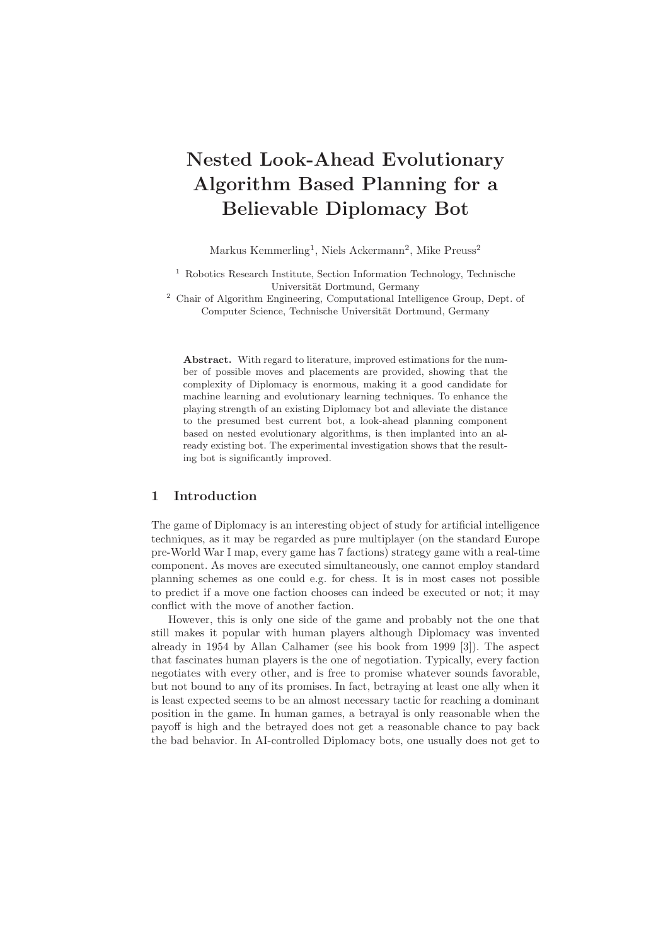# **Nested Look-Ahead Evolutionary Algorithm Based Planning for a Believable Diplomacy Bot**

Markus Kemmerling<sup>1</sup>, Niels Ackermann<sup>2</sup>, Mike Preuss<sup>2</sup>

<sup>1</sup> Robotics Research Institute, Section Information Technology, Technische Universität Dortmund, Germany

<sup>2</sup> Chair of Algorithm Engineering, Computational Intelligence Group, Dept. of Computer Science, Technische Universität Dortmund, Germany

**Abstract.** With regard to literature, improved estimations for the number of possible moves and placements are provided, showing that the complexity of Diplomacy is enormous, making it a good candidate for machine learning and evolutionary learning techniques. To enhance the playing strength of an existing Diplomacy bot and alleviate the distance to the presumed best current bot, a look-ahead planning component based on nested evolutionary algorithms, is then implanted into an already existing bot. The experimental investigation shows that the resulting bot is significantly improved.

# **1 Introduction**

The game of Diplomacy is an interesting object of study for artificial intelligence techniques, as it may be regarded as pure multiplayer (on the standard Europe pre-World War I map, every game has 7 factions) strategy game with a real-time component. As moves are executed simultaneously, one cannot employ standard planning schemes as one could e.g. for chess. It is in most cases not possible to predict if a move one faction chooses can indeed be executed or not; it may conflict with the move of another faction.

However, this is only one side of the game and probably not the one that still makes it popular with human players although Diplomacy was invented already in 1954 by Allan Calhamer (see his book from 1999 [3]). The aspect that fascinates human players is the one of negotiation. Typically, every faction negotiates with every other, and is free to promise whatever sounds favorable, but not bound to any of its promises. In fact, betraying at least one ally when it is least expected seems to be an almost necessary tactic for reaching a dominant position in the game. In human games, a betrayal is only reasonable when the payoff is high and the betrayed does not get a reasonable chance to pay back the bad behavior. In AI-controlled Diplomacy bots, one usually does not get to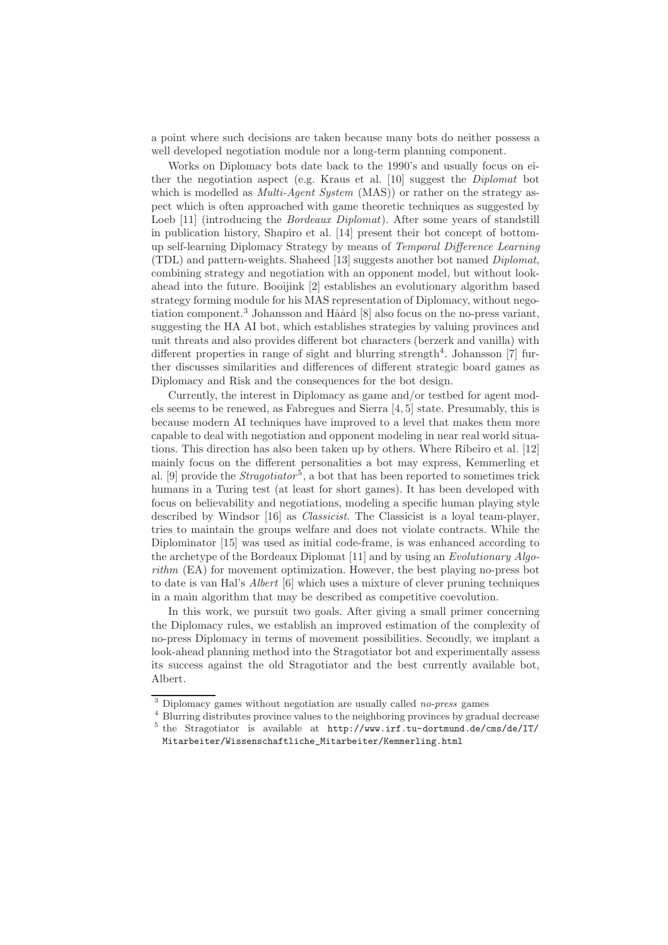a point where such decisions are taken because many bots do neither possess a well developed negotiation module nor a long-term planning component.

Works on Diplomacy bots date back to the 1990's and usually focus on either the negotiation aspect (e.g. Kraus et al. [10] suggest the *Diplomat* bot which is modelled as *Multi-Agent System* (MAS)) or rather on the strategy aspect which is often approached with game theoretic techniques as suggested by Loeb [11] (introducing the *Bordeaux Diplomat*). After some years of standstill in publication history, Shapiro et al. [14] present their bot concept of bottomup self-learning Diplomacy Strategy by means of *Temporal Difference Learning* (TDL) and pattern-weights. Shaheed [13] suggests another bot named *Diplomat*, combining strategy and negotiation with an opponent model, but without lookahead into the future. Booijink [2] establishes an evolutionary algorithm based strategy forming module for his MAS representation of Diplomacy, without negotiation component. $3$  Johansson and Håård [8] also focus on the no-press variant, suggesting the HA AI bot, which establishes strategies by valuing provinces and unit threats and also provides different bot characters (berzerk and vanilla) with different properties in range of sight and blurring strength<sup>4</sup>. Johansson [7] further discusses similarities and differences of different strategic board games as Diplomacy and Risk and the consequences for the bot design.

Currently, the interest in Diplomacy as game and/or testbed for agent models seems to be renewed, as Fabregues and Sierra [4, 5] state. Presumably, this is because modern AI techniques have improved to a level that makes them more capable to deal with negotiation and opponent modeling in near real world situations. This direction has also been taken up by others. Where Ribeiro et al. [12] mainly focus on the different personalities a bot may express, Kemmerling et al. [9] provide the *Stragotiator* <sup>5</sup>, a bot that has been reported to sometimes trick humans in a Turing test (at least for short games). It has been developed with focus on believability and negotiations, modeling a specific human playing style described by Windsor [16] as *Classicist*. The Classicist is a loyal team-player, tries to maintain the groups welfare and does not violate contracts. While the Diplominator [15] was used as initial code-frame, is was enhanced according to the archetype of the Bordeaux Diplomat [11] and by using an *Evolutionary Algorithm* (EA) for movement optimization. However, the best playing no-press bot to date is van Hal's *Albert* [6] which uses a mixture of clever pruning techniques in a main algorithm that may be described as competitive coevolution.

In this work, we pursuit two goals. After giving a small primer concerning the Diplomacy rules, we establish an improved estimation of the complexity of no-press Diplomacy in terms of movement possibilities. Secondly, we implant a look-ahead planning method into the Stragotiator bot and experimentally assess its success against the old Stragotiator and the best currently available bot, Albert.

<sup>3</sup> Diplomacy games without negotiation are usually called *no-press* games

<sup>4</sup> Blurring distributes province values to the neighboring provinces by gradual decrease

<sup>5</sup> the Stragotiator is available at http://www.irf.tu-dortmund.de/cms/de/IT/ Mitarbeiter/Wissenschaftliche\_Mitarbeiter/Kemmerling.html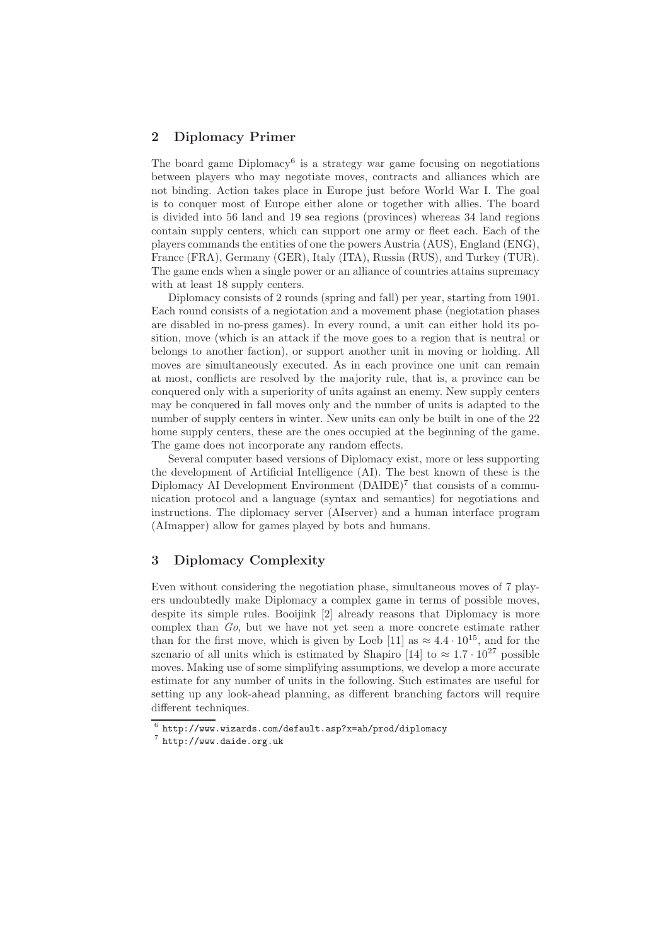# **2 Diplomacy Primer**

The board game Diplomacy<sup>6</sup> is a strategy war game focusing on negotiations between players who may negotiate moves, contracts and alliances which are not binding. Action takes place in Europe just before World War I. The goal is to conquer most of Europe either alone or together with allies. The board is divided into 56 land and 19 sea regions (provinces) whereas 34 land regions contain supply centers, which can support one army or fleet each. Each of the players commands the entities of one the powers Austria (AUS), England (ENG), France (FRA), Germany (GER), Italy (ITA), Russia (RUS), and Turkey (TUR). The game ends when a single power or an alliance of countries attains supremacy with at least 18 supply centers.

Diplomacy consists of 2 rounds (spring and fall) per year, starting from 1901. Each round consists of a negiotation and a movement phase (negiotation phases are disabled in no-press games). In every round, a unit can either hold its position, move (which is an attack if the move goes to a region that is neutral or belongs to another faction), or support another unit in moving or holding. All moves are simultaneously executed. As in each province one unit can remain at most, conflicts are resolved by the majority rule, that is, a province can be conquered only with a superiority of units against an enemy. New supply centers may be conquered in fall moves only and the number of units is adapted to the number of supply centers in winter. New units can only be built in one of the 22 home supply centers, these are the ones occupied at the beginning of the game. The game does not incorporate any random effects.

Several computer based versions of Diplomacy exist, more or less supporting the development of Artificial Intelligence (AI). The best known of these is the Diplomacy AI Development Environment (DAIDE)<sup>7</sup> that consists of a communication protocol and a language (syntax and semantics) for negotiations and instructions. The diplomacy server (AIserver) and a human interface program (AImapper) allow for games played by bots and humans.

# **3 Diplomacy Complexity**

Even without considering the negotiation phase, simultaneous moves of 7 players undoubtedly make Diplomacy a complex game in terms of possible moves, despite its simple rules. Booijink [2] already reasons that Diplomacy is more complex than *Go*, but we have not yet seen a more concrete estimate rather than for the first move, which is given by Loeb [11] as  $\approx 4.4 \cdot 10^{15}$ , and for the szenario of all units which is estimated by Shapiro [14] to  $\approx 1.7 \cdot 10^{27}$  possible moves. Making use of some simplifying assumptions, we develop a more accurate estimate for any number of units in the following. Such estimates are useful for setting up any look-ahead planning, as different branching factors will require different techniques.

 $6$  http://www.wizards.com/default.asp?x=ah/prod/diplomacy

<sup>7</sup> http://www.daide.org.uk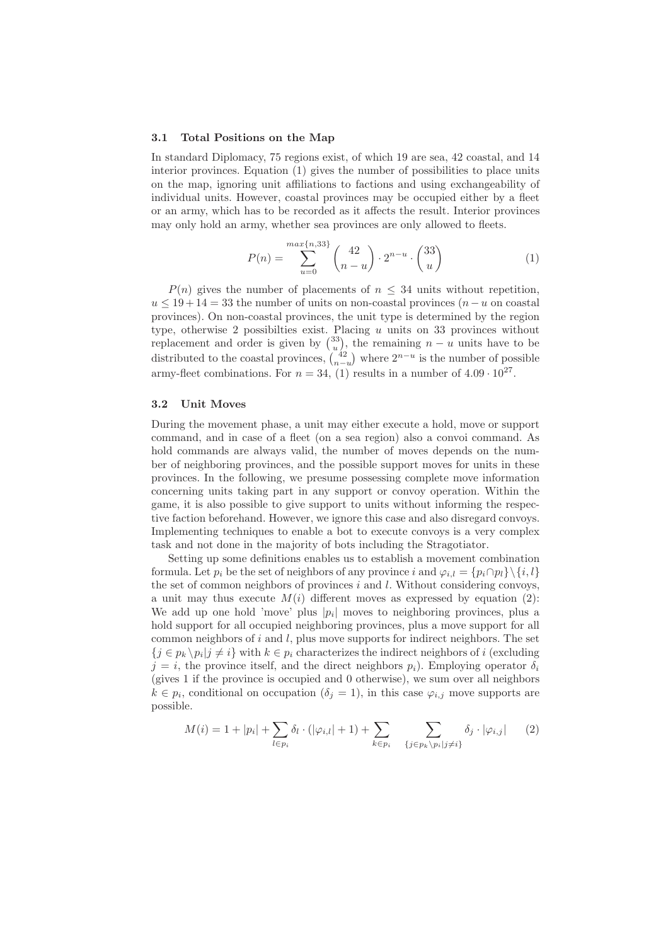#### **3.1 Total Positions on the Map**

In standard Diplomacy, 75 regions exist, of which 19 are sea, 42 coastal, and 14 interior provinces. Equation (1) gives the number of possibilities to place units on the map, ignoring unit affiliations to factions and using exchangeability of individual units. However, coastal provinces may be occupied either by a fleet or an army, which has to be recorded as it affects the result. Interior provinces may only hold an army, whether sea provinces are only allowed to fleets.

$$
P(n) = \sum_{u=0}^{\max\{n,33\}} \binom{42}{n-u} \cdot 2^{n-u} \cdot \binom{33}{u} \tag{1}
$$

 $P(n)$  gives the number of placements of  $n \leq 34$  units without repetition,  $u \le 19 + 14 = 33$  the number of units on non-coastal provinces  $(n-u)$  on coastal provinces). On non-coastal provinces, the unit type is determined by the region type, otherwise 2 possibilties exist. Placing  $u$  units on 33 provinces without replacement and order is given by  $\binom{33}{u}$ , the remaining  $n - u$  units have to be distributed to the coastal provinces,  $\binom{42}{n-u}$  where  $2^{n-u}$  is the number of possible army-fleet combinations. For  $n = 34$ , (1) results in a number of  $4.09 \cdot 10^{27}$ .

#### $3.2$

During the movement phase, a unit may either execute a hold, move or support command, and in case of a fleet (on a sea region) also a convoi command. As hold commands are always valid, the number of moves depends on the number of neighboring provinces, and the possible support moves for units in these provinces. In the following, we presume possessing complete move information concerning units taking part in any support or convoy operation. Within the game, it is also possible to give support to units without informing the respective faction beforehand. However, we ignore this case and also disregard convoys. Implementing techniques to enable a bot to execute convoys is a very complex task and not done in the majority of bots including the Stragotiator.

Setting up some definitions enables us to establish a movement combination formula. Let  $p_i$  be the set of neighbors of any province i and  $\varphi_{i,l} = \{p_i \cap p_l\} \setminus \{i, l\}$ the set of common neighbors of provinces  $i$  and  $l$ . Without considering convoys, a unit may thus execute  $M(i)$  different moves as expressed by equation (2): We add up one hold 'move' plus  $|p_i|$  moves to neighboring provinces, plus a hold support for all occupied neighboring provinces, plus a move support for all common neighbors of  $i$  and  $l$ , plus move supports for indirect neighbors. The set  $\{j \in p_k \setminus p_i | j \neq i\}$  with  $k \in p_i$  characterizes the indirect neighbors of i (excluding  $j = i$ , the province itself, and the direct neighbors  $p_i$ ). Employing operator  $\delta_i$ (gives 1 if the province is occupied and 0 otherwise), we sum over all neighbors  $k \in p_i$ , conditional on occupation  $(\delta_j = 1)$ , in this case  $\varphi_{i,j}$  move supports are possible.

$$
M(i) = 1 + |p_i| + \sum_{l \in p_i} \delta_l \cdot (|\varphi_{i,l}| + 1) + \sum_{k \in p_i} \sum_{\{j \in p_k \setminus p_i | j \neq i\}} \delta_j \cdot |\varphi_{i,j}| \qquad (2)
$$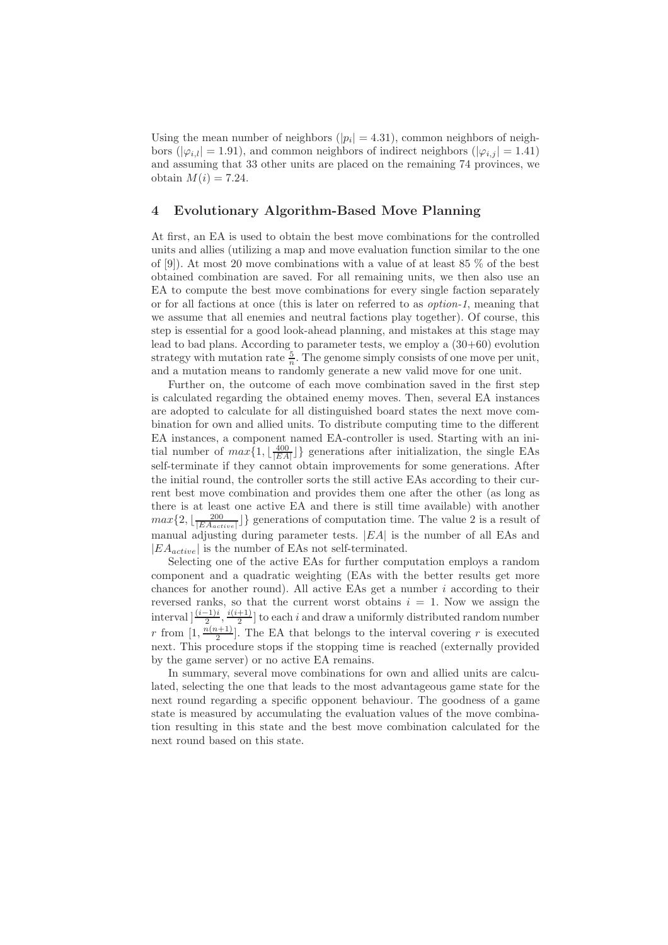Using the mean number of neighbors ( $|p_i| = 4.31$ ), common neighbors of neighbors ( $|\varphi_{i,l}| = 1.91$ ), and common neighbors of indirect neighbors ( $|\varphi_{i,j}| = 1.41$ ) and assuming that 33 other units are placed on the remaining 74 provinces, we obtain  $M(i)=7.24$ .

## **4 Evolutionary Algorithm-Based Move Planning**

At first, an EA is used to obtain the best move combinations for the controlled units and allies (utilizing a map and move evaluation function similar to the one of [9]). At most 20 move combinations with a value of at least 85 % of the best obtained combination are saved. For all remaining units, we then also use an EA to compute the best move combinations for every single faction separately or for all factions at once (this is later on referred to as *option-1*, meaning that we assume that all enemies and neutral factions play together). Of course, this step is essential for a good look-ahead planning, and mistakes at this stage may lead to bad plans. According to parameter tests, we employ a (30+60) evolution strategy with mutation rate  $\frac{5}{n}$ . The genome simply consists of one move per unit, and a mutation means to randomly generate a new valid move for one unit.

Further on, the outcome of each move combination saved in the first step is calculated regarding the obtained enemy moves. Then, several EA instances are adopted to calculate for all distinguished board states the next move combination for own and allied units. To distribute computing time to the different EA instances, a component named EA-controller is used. Starting with an initial number of  $max\{1, \lfloor \frac{400}{|EA|} \rfloor\}$  generations after initialization, the single EAs self-terminate if they cannot obtain improvements for some generations. After the initial round, the controller sorts the still active EAs according to their current best move combination and provides them one after the other (as long as there is at least one active EA and there is still time available) with another  $max\{2, \lfloor \frac{200}{|EA_{active}|} \rfloor\}$  generations of computation time. The value 2 is a result of manual adjusting during parameter tests.  $|EA|$  is the number of all EAs and |EA*active*| is the number of EAs not self-terminated.

Selecting one of the active EAs for further computation employs a random component and a quadratic weighting (EAs with the better results get more chances for another round). All active EAs get a number i according to their reversed ranks, so that the current worst obtains  $i = 1$ . Now we assign the interval  $\left[\frac{(i-1)i}{2}, \frac{i(i+1)}{2}\right]$  to each i and draw a uniformly distributed random number r from  $[1, \frac{n(n+1)}{2}]$ . The EA that belongs to the interval covering r is executed next. This procedure stops if the stopping time is reached (externally provided by the game server) or no active EA remains.

In summary, several move combinations for own and allied units are calculated, selecting the one that leads to the most advantageous game state for the next round regarding a specific opponent behaviour. The goodness of a game state is measured by accumulating the evaluation values of the move combination resulting in this state and the best move combination calculated for the next round based on this state.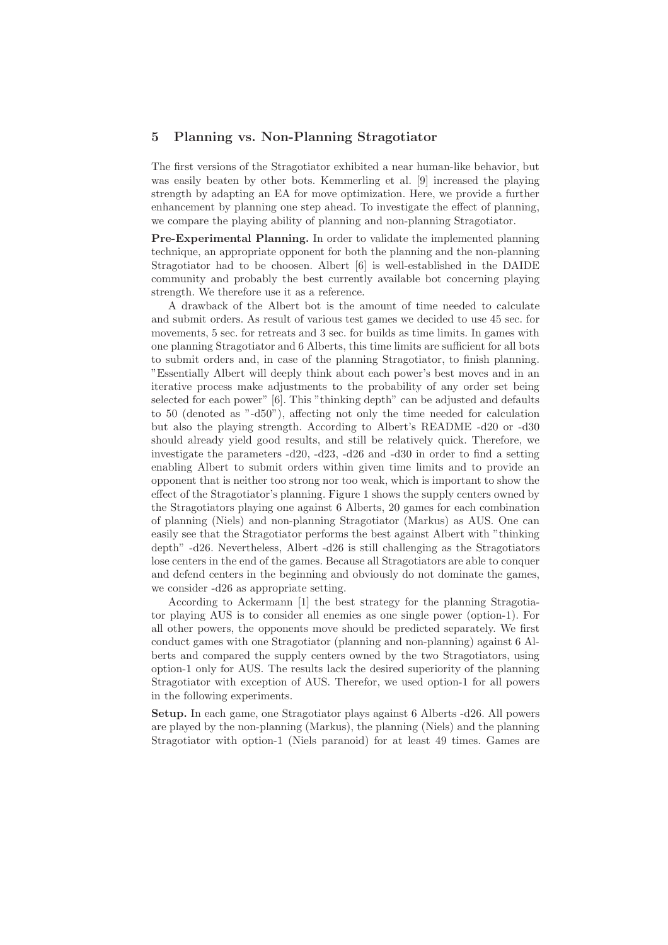## **5 Planning vs. Non-Planning Stragotiator**

The first versions of the Stragotiator exhibited a near human-like behavior, but was easily beaten by other bots. Kemmerling et al. [9] increased the playing strength by adapting an EA for move optimization. Here, we provide a further enhancement by planning one step ahead. To investigate the effect of planning, we compare the playing ability of planning and non-planning Stragotiator.

**Pre-Experimental Planning.** In order to validate the implemented planning technique, an appropriate opponent for both the planning and the non-planning Stragotiator had to be choosen. Albert [6] is well-established in the DAIDE community and probably the best currently available bot concerning playing strength. We therefore use it as a reference.

A drawback of the Albert bot is the amount of time needed to calculate and submit orders. As result of various test games we decided to use 45 sec. for movements, 5 sec. for retreats and 3 sec. for builds as time limits. In games with one planning Stragotiator and 6 Alberts, this time limits are sufficient for all bots to submit orders and, in case of the planning Stragotiator, to finish planning. "Essentially Albert will deeply think about each power's best moves and in an iterative process make adjustments to the probability of any order set being selected for each power" [6]. This "thinking depth" can be adjusted and defaults to 50 (denoted as "-d50"), affecting not only the time needed for calculation but also the playing strength. According to Albert's README -d20 or -d30 should already yield good results, and still be relatively quick. Therefore, we investigate the parameters -d20, -d23, -d26 and -d30 in order to find a setting enabling Albert to submit orders within given time limits and to provide an opponent that is neither too strong nor too weak, which is important to show the effect of the Stragotiator's planning. Figure 1 shows the supply centers owned by the Stragotiators playing one against 6 Alberts, 20 games for each combination of planning (Niels) and non-planning Stragotiator (Markus) as AUS. One can easily see that the Stragotiator performs the best against Albert with "thinking depth" -d26. Nevertheless, Albert -d26 is still challenging as the Stragotiators lose centers in the end of the games. Because all Stragotiators are able to conquer and defend centers in the beginning and obviously do not dominate the games, we consider -d26 as appropriate setting.

According to Ackermann [1] the best strategy for the planning Stragotiator playing AUS is to consider all enemies as one single power (option-1). For all other powers, the opponents move should be predicted separately. We first conduct games with one Stragotiator (planning and non-planning) against 6 Alberts and compared the supply centers owned by the two Stragotiators, using option-1 only for AUS. The results lack the desired superiority of the planning Stragotiator with exception of AUS. Therefor, we used option-1 for all powers in the following experiments.

**Setup.** In each game, one Stragotiator plays against 6 Alberts -d26. All powers are played by the non-planning (Markus), the planning (Niels) and the planning Stragotiator with option-1 (Niels paranoid) for at least 49 times. Games are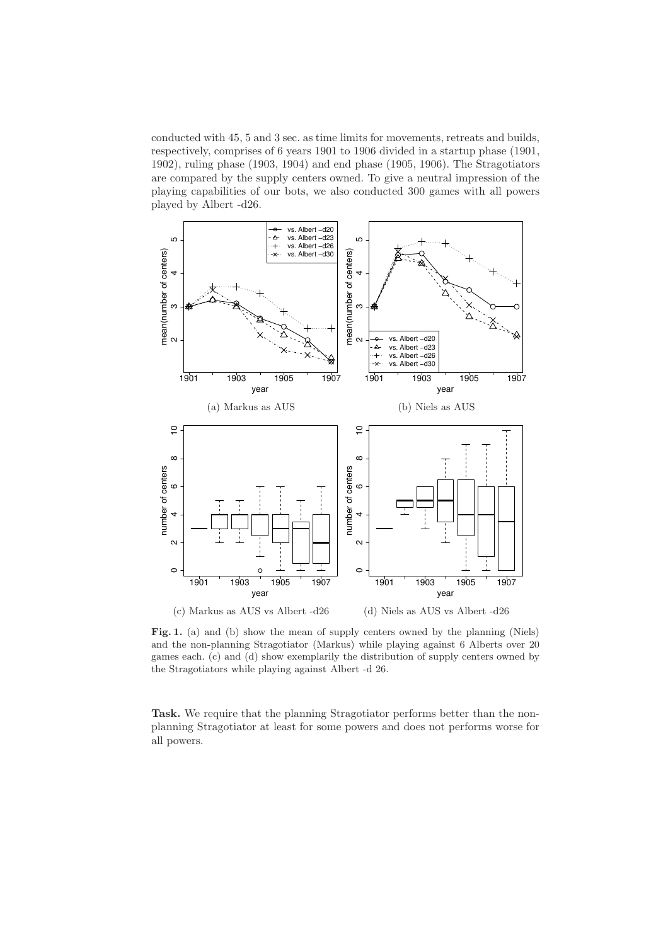conducted with 45, 5 and 3 sec. as time limits for movements, retreats and builds, respectively, comprises of 6 years 1901 to 1906 divided in a startup phase (1901, 1902), ruling phase (1903, 1904) and end phase (1905, 1906). The Stragotiators are compared by the supply centers owned. To give a neutral impression of the playing capabilities of our bots, we also conducted 300 games with all powers played by Albert -d26.



Fig. 1. (a) and (b) show the mean of supply centers owned by the planning (Niels) and the non-planning Stragotiator (Markus) while playing against 6 Alberts over 20 games each. (c) and (d) show exemplarily the distribution of supply centers owned by the Stragotiators while playing against Albert -d 26.

Task. We require that the planning Stragotiator performs better than the nonplanning Stragotiator at least for some powers and does not performs worse for all powers.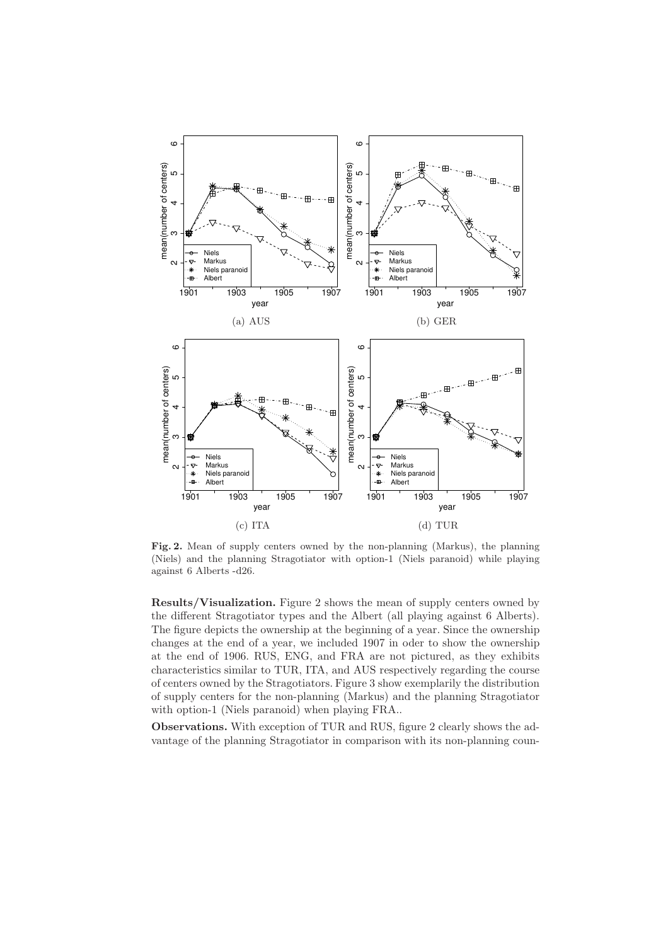

Fig. 2. Mean of supply centers owned by the non-planning (Markus), the planning (Niels) and the planning Stragotiator with option-1 (Niels paranoid) while playing against 6 Alberts -d26.

**Results/Visualization.** Figure 2 shows the mean of supply centers owned by the different Stragotiator types and the Albert (all playing against 6 Alberts). The figure depicts the ownership at the beginning of a year. Since the ownership changes at the end of a year, we included 1907 in oder to show the ownership at the end of 1906. RUS, ENG, and FRA are not pictured, as they exhibits characteristics similar to TUR, ITA, and AUS respectively regarding the course of centers owned by the Stragotiators. Figure 3 show exemplarily the distribution of supply centers for the non-planning (Markus) and the planning Stragotiator with option-1 (Niels paranoid) when playing FRA..

**Observations.** With exception of TUR and RUS, figure 2 clearly shows the advantage of the planning Stragotiator in comparison with its non-planning coun-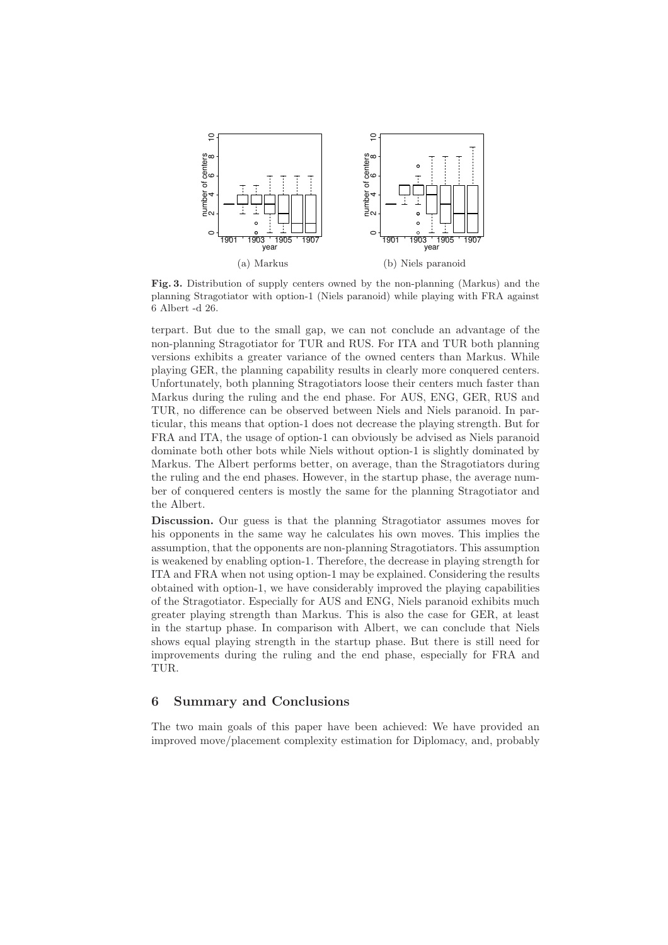

**Fig. 3.** Distribution of supply centers owned by the non-planning (Markus) and the planning Stragotiator with option-1 (Niels paranoid) while playing with FRA against 6 Albert -d 26.

terpart. But due to the small gap, we can not conclude an advantage of the non-planning Stragotiator for TUR and RUS. For ITA and TUR both planning versions exhibits a greater variance of the owned centers than Markus. While playing GER, the planning capability results in clearly more conquered centers. Unfortunately, both planning Stragotiators loose their centers much faster than Markus during the ruling and the end phase. For AUS, ENG, GER, RUS and TUR, no difference can be observed between Niels and Niels paranoid. In particular, this means that option-1 does not decrease the playing strength. But for FRA and ITA, the usage of option-1 can obviously be advised as Niels paranoid dominate both other bots while Niels without option-1 is slightly dominated by Markus. The Albert performs better, on average, than the Stragotiators during the ruling and the end phases. However, in the startup phase, the average number of conquered centers is mostly the same for the planning Stragotiator and the Albert.

**Discussion.** Our guess is that the planning Stragotiator assumes moves for his opponents in the same way he calculates his own moves. This implies the assumption, that the opponents are non-planning Stragotiators. This assumption is weakened by enabling option-1. Therefore, the decrease in playing strength for ITA and FRA when not using option-1 may be explained. Considering the results obtained with option-1, we have considerably improved the playing capabilities of the Stragotiator. Especially for AUS and ENG, Niels paranoid exhibits much greater playing strength than Markus. This is also the case for GER, at least in the startup phase. In comparison with Albert, we can conclude that Niels shows equal playing strength in the startup phase. But there is still need for improvements during the ruling and the end phase, especially for FRA and TUR.

## **6 Summary and Conclusions**

The two main goals of this paper have been achieved: We have provided an improved move/placement complexity estimation for Diplomacy, and, probably